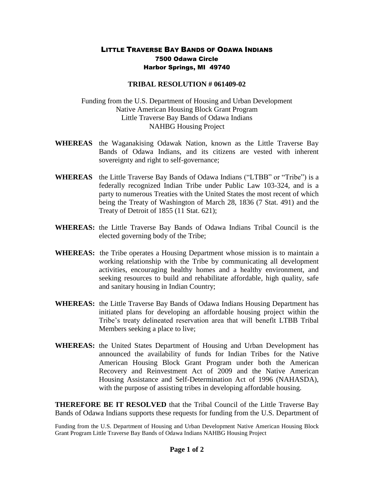## LITTLE TRAVERSE BAY BANDS OF ODAWA INDIANS 7500 Odawa Circle Harbor Springs, MI 49740

## **TRIBAL RESOLUTION # 061409-02**

Funding from the U.S. Department of Housing and Urban Development Native American Housing Block Grant Program Little Traverse Bay Bands of Odawa Indians NAHBG Housing Project

- **WHEREAS** the Waganakising Odawak Nation, known as the Little Traverse Bay Bands of Odawa Indians, and its citizens are vested with inherent sovereignty and right to self-governance;
- **WHEREAS** the Little Traverse Bay Bands of Odawa Indians ("LTBB" or "Tribe") is a federally recognized Indian Tribe under Public Law 103-324, and is a party to numerous Treaties with the United States the most recent of which being the Treaty of Washington of March 28, 1836 (7 Stat. 491) and the Treaty of Detroit of 1855 (11 Stat. 621);
- **WHEREAS:** the Little Traverse Bay Bands of Odawa Indians Tribal Council is the elected governing body of the Tribe;
- **WHEREAS:** the Tribe operates a Housing Department whose mission is to maintain a working relationship with the Tribe by communicating all development activities, encouraging healthy homes and a healthy environment, and seeking resources to build and rehabilitate affordable, high quality, safe and sanitary housing in Indian Country;
- **WHEREAS:** the Little Traverse Bay Bands of Odawa Indians Housing Department has initiated plans for developing an affordable housing project within the Tribe's treaty delineated reservation area that will benefit LTBB Tribal Members seeking a place to live;
- **WHEREAS:** the United States Department of Housing and Urban Development has announced the availability of funds for Indian Tribes for the Native American Housing Block Grant Program under both the American Recovery and Reinvestment Act of 2009 and the Native American Housing Assistance and Self-Determination Act of 1996 (NAHASDA), with the purpose of assisting tribes in developing affordable housing.

**THEREFORE BE IT RESOLVED** that the Tribal Council of the Little Traverse Bay Bands of Odawa Indians supports these requests for funding from the U.S. Department of

Funding from the U.S. Department of Housing and Urban Development Native American Housing Block Grant Program Little Traverse Bay Bands of Odawa Indians NAHBG Housing Project